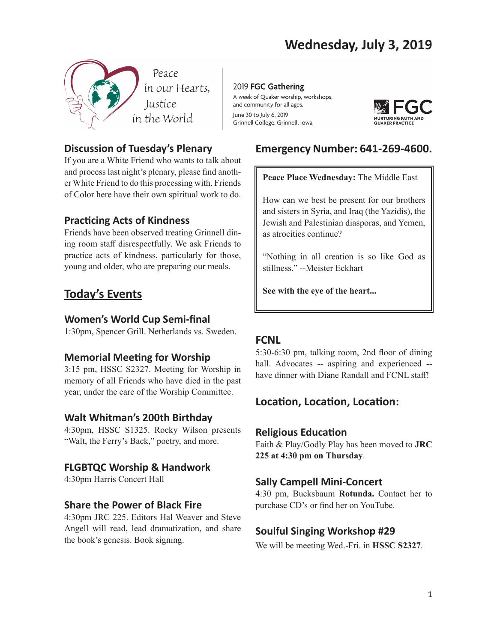

# **Discussion of Tuesday's Plenary**

If you are a White Friend who wants to talk about and process last night's plenary, please find another White Friend to do this processing with. Friends of Color here have their own spiritual work to do.

# **Practicing Acts of Kindness**

Friends have been observed treating Grinnell dining room staff disrespectfully. We ask Friends to practice acts of kindness, particularly for those, young and older, who are preparing our meals.

# **Today's Events**

## **Women's World Cup Semi-final**

1:30pm, Spencer Grill. Netherlands vs. Sweden.

# **Memorial Meeting for Worship**

3:15 pm, HSSC S2327. Meeting for Worship in memory of all Friends who have died in the past year, under the care of the Worship Committee.

# **Walt Whitman's 200th Birthday**

4:30pm, HSSC S1325. Rocky Wilson presents "Walt, the Ferry's Back," poetry, and more.

## **FLGBTQC Worship & Handwork**

4:30pm Harris Concert Hall

## **Share the Power of Black Fire**

4:30pm JRC 225. Editors Hal Weaver and Steve Angell will read, lead dramatization, and share the book's genesis. Book signing.

2019 FGC Gathering A week of Quaker worship, workshops, and community for all ages. June 30 to July 6, 2019 Grinnell College, Grinnell, Iowa



# **Emergency Number: 641-269-4600.**

#### **Peace Place Wednesday:** The Middle East

How can we best be present for our brothers and sisters in Syria, and Iraq (the Yazidis), the Jewish and Palestinian diasporas, and Yemen, as atrocities continue?

"Nothing in all creation is so like God as stillness." --Meister Eckhart

**See with the eye of the heart...**

# **FCNL**

5:30-6:30 pm, talking room, 2nd floor of dining hall. Advocates -- aspiring and experienced -have dinner with Diane Randall and FCNL staff!

# **Location, Location, Location:**

## **Religious Education**

Faith & Play/Godly Play has been moved to **JRC 225 at 4:30 pm on Thursday**.

## **Sally Campell Mini-Concert**

4:30 pm, Bucksbaum **Rotunda.** Contact her to purchase CD's or find her on YouTube.

# **Soulful Singing Workshop #29**

We will be meeting Wed.-Fri. in **HSSC S2327**.